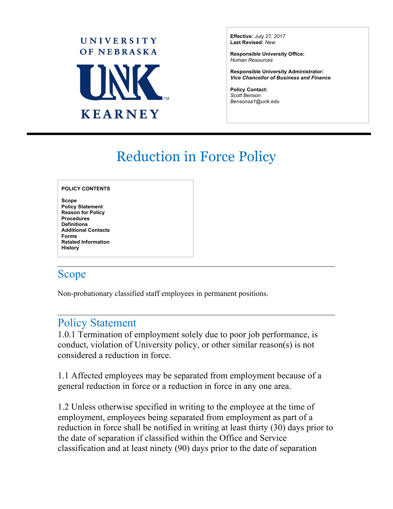

**Effective:** *July 27, 2017* **Last Revised:** *New* 

**Responsible University Office:** *Human Resources*

**Responsible University Administrator:** *Vice Chancellor of Business and Finance*

 $\overline{a}$ 

**Policy Contact:** *Scott Benson [Bensonsa1@unk.edu](mailto:Bensonsa1@unk.edu)*

# Reduction in Force Policy

#### **POLICY CONTENTS**

**Scope Policy Statement Reason for Policy Procedures Definitions Additional Contacts Forms Related Information History**

#### Scope

Non-probationary classified staff employees in permanent positions.

#### Policy Statement

1.0.1 Termination of employment solely due to poor job performance, is conduct, violation of University policy, or other similar reason(s) is not considered a reduction in force.

1.1 Affected employees may be separated from employment because of a general reduction in force or a reduction in force in any one area.

1.2 Unless otherwise specified in writing to the employee at the time of employment, employees being separated from employment as part of a reduction in force shall be notified in writing at least thirty (30) days prior to the date of separation if classified within the Office and Service classification and at least ninety (90) days prior to the date of separation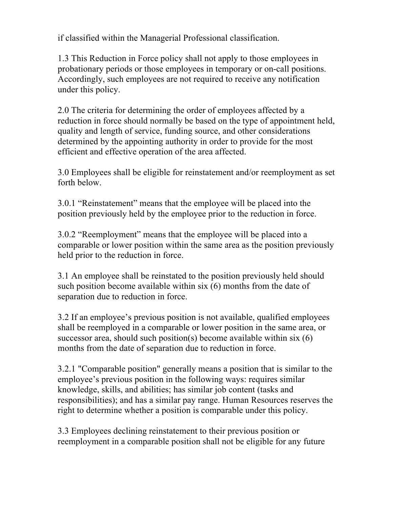if classified within the Managerial Professional classification.

1.3 This Reduction in Force policy shall not apply to those employees in probationary periods or those employees in temporary or on-call positions. Accordingly, such employees are not required to receive any notification under this policy.

2.0 The criteria for determining the order of employees affected by a reduction in force should normally be based on the type of appointment held, quality and length of service, funding source, and other considerations determined by the appointing authority in order to provide for the most efficient and effective operation of the area affected.

3.0 Employees shall be eligible for reinstatement and/or reemployment as set forth below.

3.0.1 "Reinstatement" means that the employee will be placed into the position previously held by the employee prior to the reduction in force.

3.0.2 "Reemployment" means that the employee will be placed into a comparable or lower position within the same area as the position previously held prior to the reduction in force.

3.1 An employee shall be reinstated to the position previously held should such position become available within six (6) months from the date of separation due to reduction in force.

3.2 If an employee's previous position is not available, qualified employees shall be reemployed in a comparable or lower position in the same area, or successor area, should such position(s) become available within  $six(6)$ months from the date of separation due to reduction in force.

3.2.1 "Comparable position" generally means a position that is similar to the employee's previous position in the following ways: requires similar knowledge, skills, and abilities; has similar job content (tasks and responsibilities); and has a similar pay range. Human Resources reserves the right to determine whether a position is comparable under this policy.

3.3 Employees declining reinstatement to their previous position or reemployment in a comparable position shall not be eligible for any future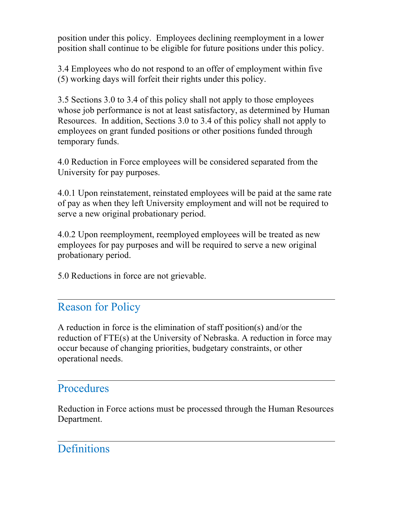position under this policy. Employees declining reemployment in a lower position shall continue to be eligible for future positions under this policy.

3.4 Employees who do not respond to an offer of employment within five (5) working days will forfeit their rights under this policy.

3.5 Sections 3.0 to 3.4 of this policy shall not apply to those employees whose job performance is not at least satisfactory, as determined by Human Resources. In addition, Sections 3.0 to 3.4 of this policy shall not apply to employees on grant funded positions or other positions funded through temporary funds.

4.0 Reduction in Force employees will be considered separated from the University for pay purposes.

4.0.1 Upon reinstatement, reinstated employees will be paid at the same rate of pay as when they left University employment and will not be required to serve a new original probationary period.

4.0.2 Upon reemployment, reemployed employees will be treated as new employees for pay purposes and will be required to serve a new original probationary period.

5.0 Reductions in force are not grievable.

### Reason for Policy

A reduction in force is the elimination of staff position(s) and/or the reduction of FTE(s) at the University of Nebraska. A reduction in force may occur because of changing priorities, budgetary constraints, or other operational needs.

### **Procedures**

Reduction in Force actions must be processed through the Human Resources Department.

### **Definitions**